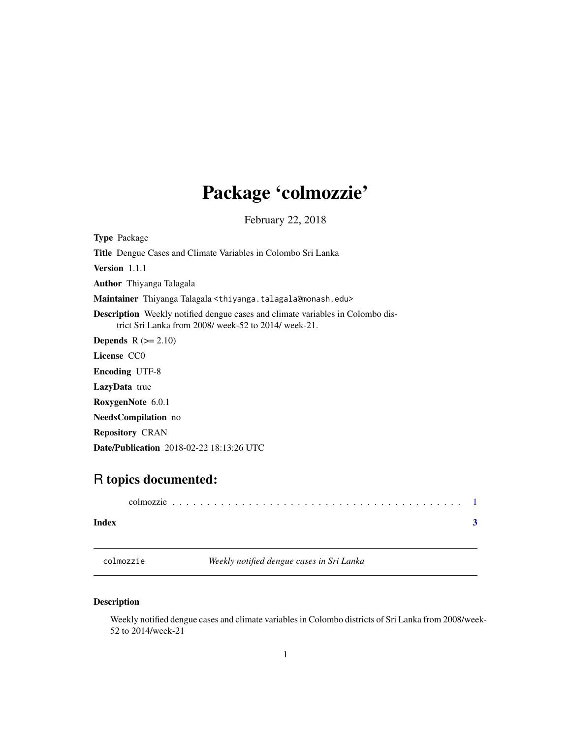## <span id="page-0-0"></span>Package 'colmozzie'

February 22, 2018

Type Package Title Dengue Cases and Climate Variables in Colombo Sri Lanka Version 1.1.1 Author Thiyanga Talagala Maintainer Thiyanga Talagala <thiyanga.talagala@monash.edu> Description Weekly notified dengue cases and climate variables in Colombo district Sri Lanka from 2008/ week-52 to 2014/ week-21. **Depends**  $R$  ( $>= 2.10$ ) License CC0 Encoding UTF-8 LazyData true RoxygenNote 6.0.1 NeedsCompilation no Repository CRAN Date/Publication 2018-02-22 18:13:26 UTC

### R topics documented:

| Index |  |  |  |  |  |  |  |  |  |  |  |  |  |  |  |  |
|-------|--|--|--|--|--|--|--|--|--|--|--|--|--|--|--|--|

colmozzie *Weekly notified dengue cases in Sri Lanka*

#### Description

Weekly notified dengue cases and climate variables in Colombo districts of Sri Lanka from 2008/week-52 to 2014/week-21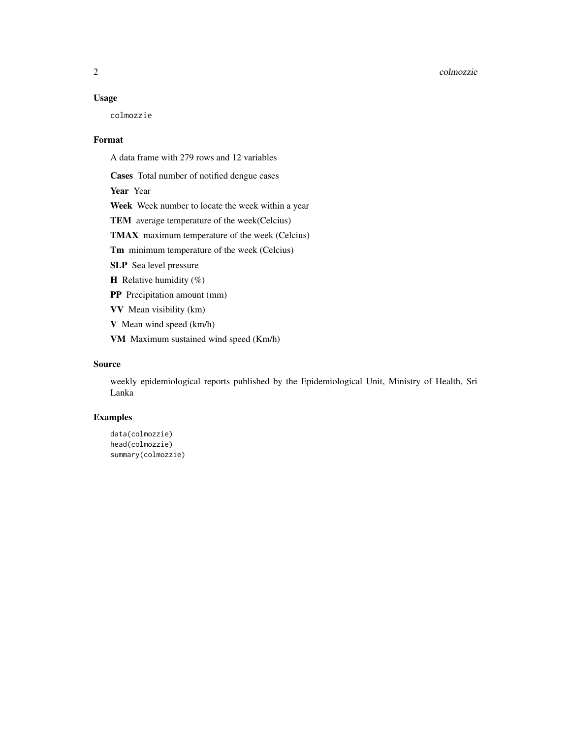#### Usage

colmozzie

#### Format

A data frame with 279 rows and 12 variables

Cases Total number of notified dengue cases

Year Year

Week Week number to locate the week within a year

TEM average temperature of the week(Celcius)

TMAX maximum temperature of the week (Celcius)

Tm minimum temperature of the week (Celcius)

SLP Sea level pressure

**H** Relative humidity  $(\%)$ 

PP Precipitation amount (mm)

VV Mean visibility (km)

V Mean wind speed (km/h)

VM Maximum sustained wind speed (Km/h)

#### Source

weekly epidemiological reports published by the Epidemiological Unit, Ministry of Health, Sri Lanka

#### Examples

```
data(colmozzie)
head(colmozzie)
summary(colmozzie)
```